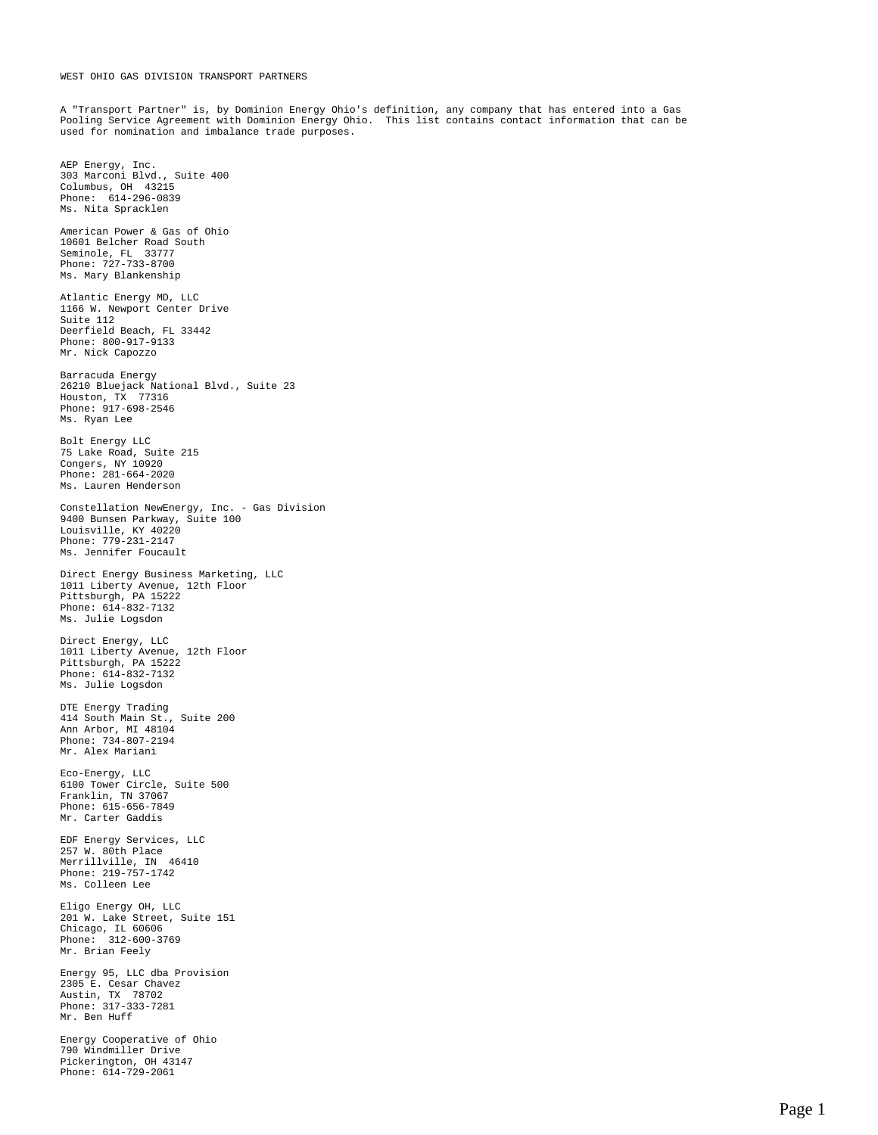## WEST OHIO GAS DIVISION TRANSPORT PARTNERS

A "Transport Partner" is, by Dominion Energy Ohio's definition, any company that has entered into a Gas Pooling Service Agreement with Dominion Energy Ohio. This list contains contact information that can be used for nomination and imbalance trade purposes.

AEP Energy, Inc. 303 Marconi Blvd., Suite 400 Columbus, OH 43215 Phone: 614-296-0839 Ms. Nita Spracklen American Power & Gas of Ohio 10601 Belcher Road South Seminole, FL 33777 Phone: 727-733-8700 Ms. Mary Blankenship Atlantic Energy MD, LLC 1166 W. Newport Center Drive Suite 112 Deerfield Beach, FL 33442 Phone: 800-917-9133 Mr. Nick Capozzo Barracuda Energy 26210 Bluejack National Blvd., Suite 23 Houston, TX 77316 Phone: 917-698-2546 Ms. Ryan Lee Bolt Energy LLC 75 Lake Road, Suite 215 Congers, NY 10920 Phone: 281-664-2020 Ms. Lauren Henderson Constellation NewEnergy, Inc. - Gas Division 9400 Bunsen Parkway, Suite 100 Louisville, KY 40220 Phone: 779-231-2147 Ms. Jennifer Foucault Direct Energy Business Marketing, LLC 1011 Liberty Avenue, 12th Floor Pittsburgh, PA 15222 Phone: 614-832-7132 Ms. Julie Logsdon Direct Energy, LLC 1011 Liberty Avenue, 12th Floor Pittsburgh, PA 15222 Phone: 614-832-7132 Ms. Julie Logsdon DTE Energy Trading 414 South Main St., Suite 200 Ann Arbor, MI 48104 Phone: 734-807-2194 Mr. Alex Mariani Eco-Energy, LLC 6100 Tower Circle, Suite 500 Franklin, TN 37067 Phone: 615-656-7849 Mr. Carter Gaddis EDF Energy Services, LLC 257 W. 80th Place Merrillville, IN 46410 Phone: 219-757-1742 Ms. Colleen Lee Eligo Energy OH, LLC 201 W. Lake Street, Suite 151 Chicago, IL 60606 Phone: 312-600-3769 Mr. Brian Feely Energy 95, LLC dba Provision 2305 E. Cesar Chavez Austin, TX 78702 Phone: 317-333-7281 Mr. Ben Huff Energy Cooperative of Ohio 790 Windmiller Drive Pickerington, OH 43147 Phone: 614-729-2061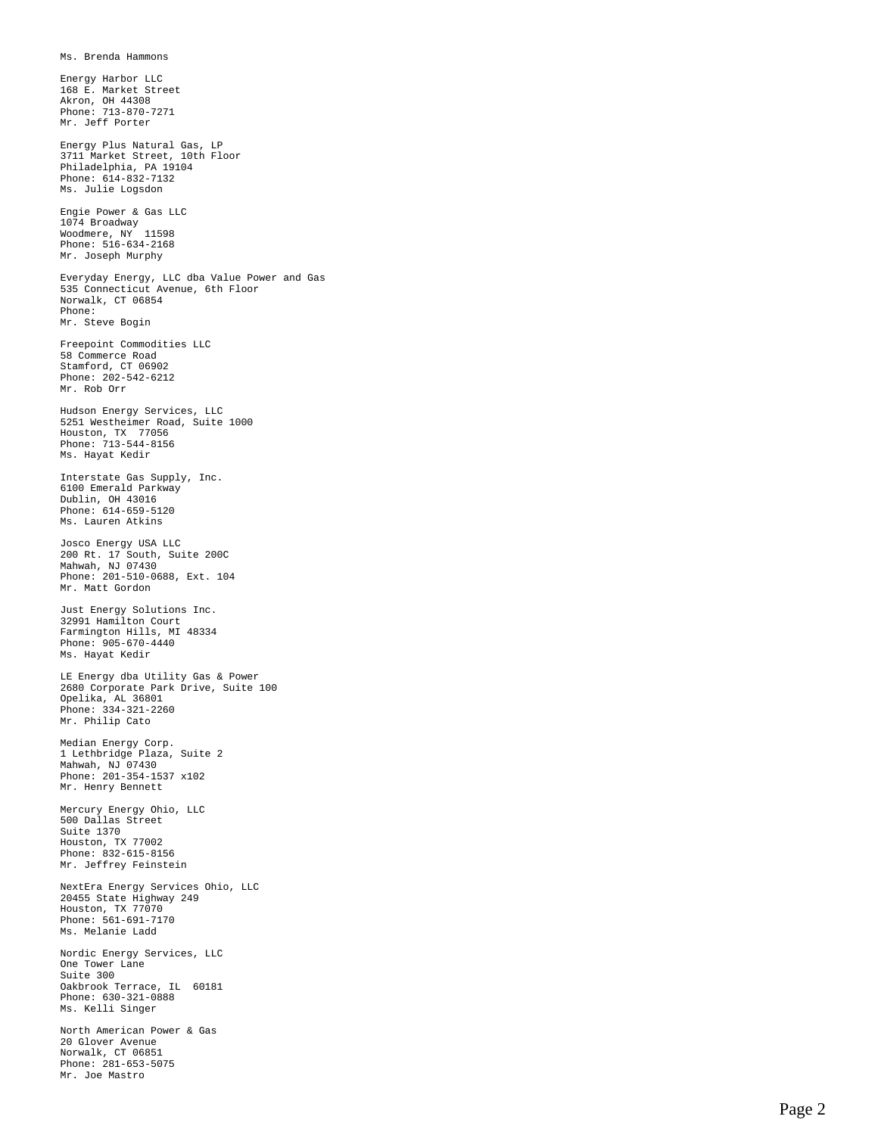Ms. Brenda Hammons Energy Harbor LLC 168 E. Market Street Akron, OH 44308 Phone: 713-870-7271 Mr. Jeff Porter Energy Plus Natural Gas, LP 3711 Market Street, 10th Floor Philadelphia, PA 19104 Phone: 614-832-7132 Ms. Julie Logsdon Engie Power & Gas LLC 1074 Broadway Woodmere, NY 11598 Phone: 516-634-2168 Mr. Joseph Murphy Everyday Energy, LLC dba Value Power and Gas 535 Connecticut Avenue, 6th Floor Norwalk, CT 06854 Phone: Mr. Steve Bogin Freepoint Commodities LLC 58 Commerce Road Stamford, CT 06902 Phone: 202-542-6212 Mr. Rob Orr Hudson Energy Services, LLC 5251 Westheimer Road, Suite 1000 Houston, TX 77056 Phone: 713-544-8156 Ms. Hayat Kedir Interstate Gas Supply, Inc. 6100 Emerald Parkway Dublin, OH 43016 Phone: 614-659-5120 Ms. Lauren Atkins Josco Energy USA LLC 200 Rt. 17 South, Suite 200C Mahwah, NJ 07430 Phone: 201-510-0688, Ext. 104 Mr. Matt Gordon Just Energy Solutions Inc. 32991 Hamilton Court Farmington Hills, MI 48334 Phone: 905-670-4440 Ms. Hayat Kedir LE Energy dba Utility Gas & Power 2680 Corporate Park Drive, Suite 100 Opelika, AL 36801 Phone: 334-321-2260 Mr. Philip Cato Median Energy Corp. 1 Lethbridge Plaza, Suite 2 Mahwah, NJ 07430 Phone: 201-354-1537 x102 Mr. Henry Bennett Mercury Energy Ohio, LLC 500 Dallas Street Suite 1370 Houston, TX 77002 Phone: 832-615-8156 Mr. Jeffrey Feinstein NextEra Energy Services Ohio, LLC 20455 State Highway 249 Houston, TX 77070 Phone: 561-691-7170 Ms. Melanie Ladd Nordic Energy Services, LLC One Tower Lane Suite 300 Oakbrook Terrace, IL 60181 Phone: 630-321-0888 Ms. Kelli Singer North American Power & Gas 20 Glover Avenue

Norwalk, CT 06851 Phone: 281-653-5075 Mr. Joe Mastro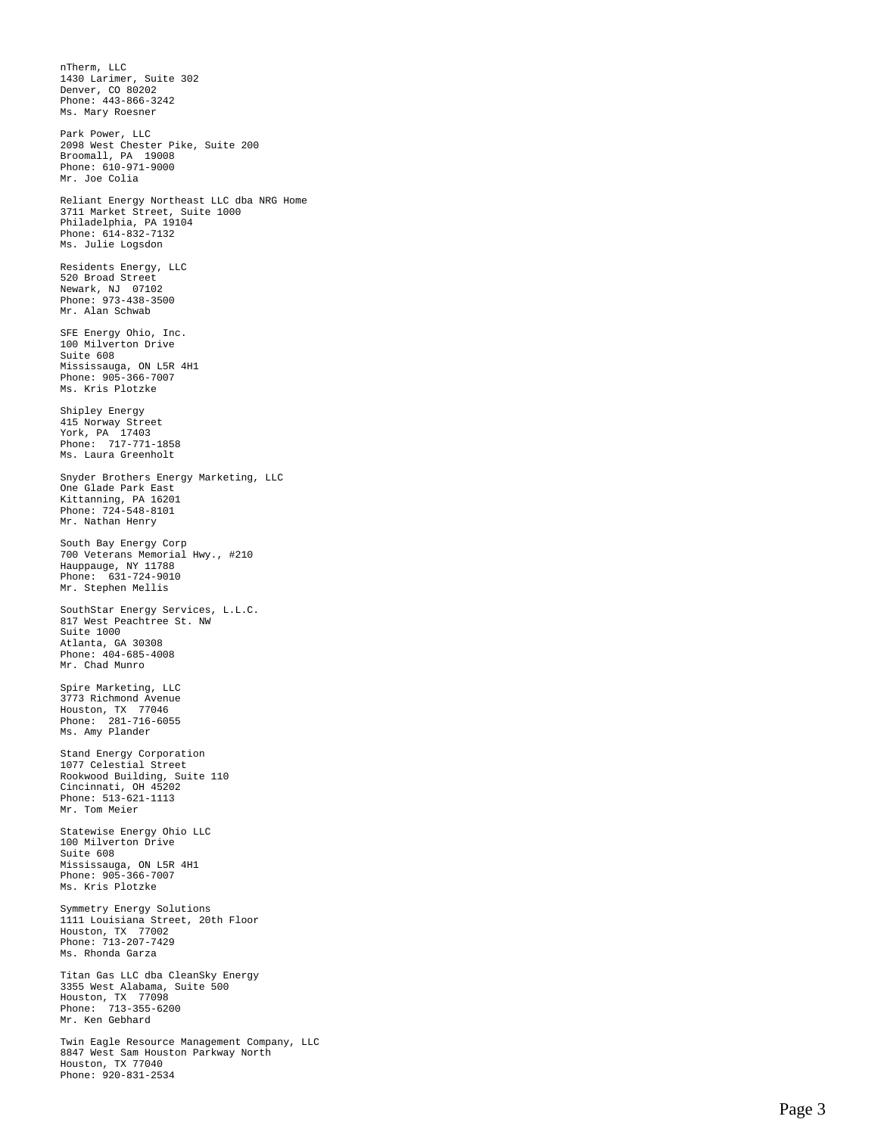nTherm, LLC 1430 Larimer, Suite 302 Denver, CO 80202 Phone: 443-866-3242 Ms. Mary Roesner Park Power, LLC 2098 West Chester Pike, Suite 200 Broomall, PA 19008 Phone: 610-971-9000 Mr. Joe Colia Reliant Energy Northeast LLC dba NRG Home 3711 Market Street, Suite 1000 Philadelphia, PA 19104 Phone: 614-832-7132 Ms. Julie Logsdon Residents Energy, LLC 520 Broad Street Newark, NJ 07102 Phone: 973-438-3500 Mr. Alan Schwab SFE Energy Ohio, Inc. 100 Milverton Drive Suite 608 Mississauga, ON L5R 4H1 Phone: 905-366-7007 Ms. Kris Plotzke Shipley Energy 415 Norway Street York, PA 17403 Phone: 717-771-1858 Ms. Laura Greenholt Snyder Brothers Energy Marketing, LLC One Glade Park East Kittanning, PA 16201 Phone: 724-548-8101 Mr. Nathan Henry South Bay Energy Corp 700 Veterans Memorial Hwy., #210 Hauppauge, NY 11788 Phone: 631-724-9010 Mr. Stephen Mellis SouthStar Energy Services, L.L.C. 817 West Peachtree St. NW Suite 1000 Atlanta, GA 30308 Phone: 404-685-4008 Mr. Chad Munro Spire Marketing, LLC 3773 Richmond Avenue Houston, TX 77046 Phone: 281-716-6055 Ms. Amy Plander Stand Energy Corporation 1077 Celestial Street Rookwood Building, Suite 110 Cincinnati, OH 45202 Phone: 513-621-1113 Mr. Tom Meier Statewise Energy Ohio LLC 100 Milverton Drive Suite 608 Mississauga, ON L5R 4H1 Phone: 905-366-7007 Ms. Kris Plotzke Symmetry Energy Solutions 1111 Louisiana Street, 20th Floor Houston, TX 77002 Phone: 713-207-7429 Ms. Rhonda Garza Titan Gas LLC dba CleanSky Energy 3355 West Alabama, Suite 500 Houston, TX 77098 Phone: 713-355-6200 Mr. Ken Gebhard Twin Eagle Resource Management Company, LLC 8847 West Sam Houston Parkway North Houston, TX 77040 Phone: 920-831-2534